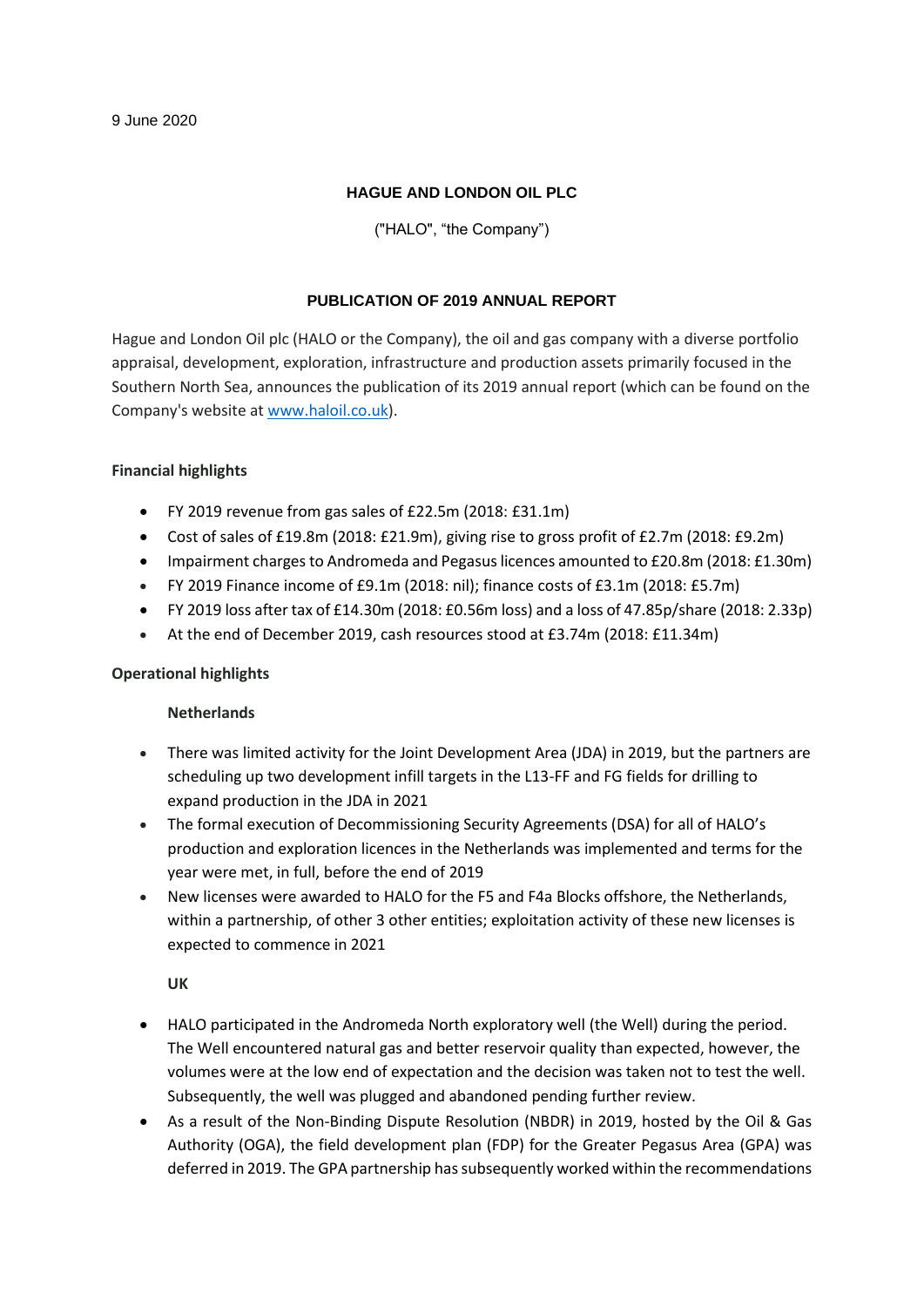# **HAGUE AND LONDON OIL PLC**

("HALO", "the Company")

## **PUBLICATION OF 2019 ANNUAL REPORT**

Hague and London Oil plc (HALO or the Company), the oil and gas company with a diverse portfolio appraisal, development, exploration, infrastructure and production assets primarily focused in the Southern North Sea, announces the publication of its 2019 annual report (which can be found on the Company's website a[t www.haloil.co.uk\)](http://www.haloil.co.uk/).

## **Financial highlights**

- FY 2019 revenue from gas sales of £22.5m (2018: £31.1m)
- Cost of sales of £19.8m (2018: £21.9m), giving rise to gross profit of £2.7m (2018: £9.2m)
- Impairment charges to Andromeda and Pegasus licences amounted to £20.8m (2018: £1.30m)
- FY 2019 Finance income of £9.1m (2018: nil); finance costs of £3.1m (2018: £5.7m)
- FY 2019 loss after tax of £14.30m (2018: £0.56m loss) and a loss of 47.85p/share (2018: 2.33p)
- At the end of December 2019, cash resources stood at £3.74m (2018: £11.34m)

# **Operational highlights**

### **Netherlands**

- There was limited activity for the Joint Development Area (JDA) in 2019, but the partners are scheduling up two development infill targets in the L13-FF and FG fields for drilling to expand production in the JDA in 2021
- The formal execution of Decommissioning Security Agreements (DSA) for all of HALO's production and exploration licences in the Netherlands was implemented and terms for the year were met, in full, before the end of 2019
- New licenses were awarded to HALO for the F5 and F4a Blocks offshore, the Netherlands, within a partnership, of other 3 other entities; exploitation activity of these new licenses is expected to commence in 2021

**UK**

- HALO participated in the Andromeda North exploratory well (the Well) during the period. The Well encountered natural gas and better reservoir quality than expected, however, the volumes were at the low end of expectation and the decision was taken not to test the well. Subsequently, the well was plugged and abandoned pending further review.
- As a result of the Non-Binding Dispute Resolution (NBDR) in 2019, hosted by the Oil & Gas Authority (OGA), the field development plan (FDP) for the Greater Pegasus Area (GPA) was deferred in 2019. The GPA partnership has subsequently worked within the recommendations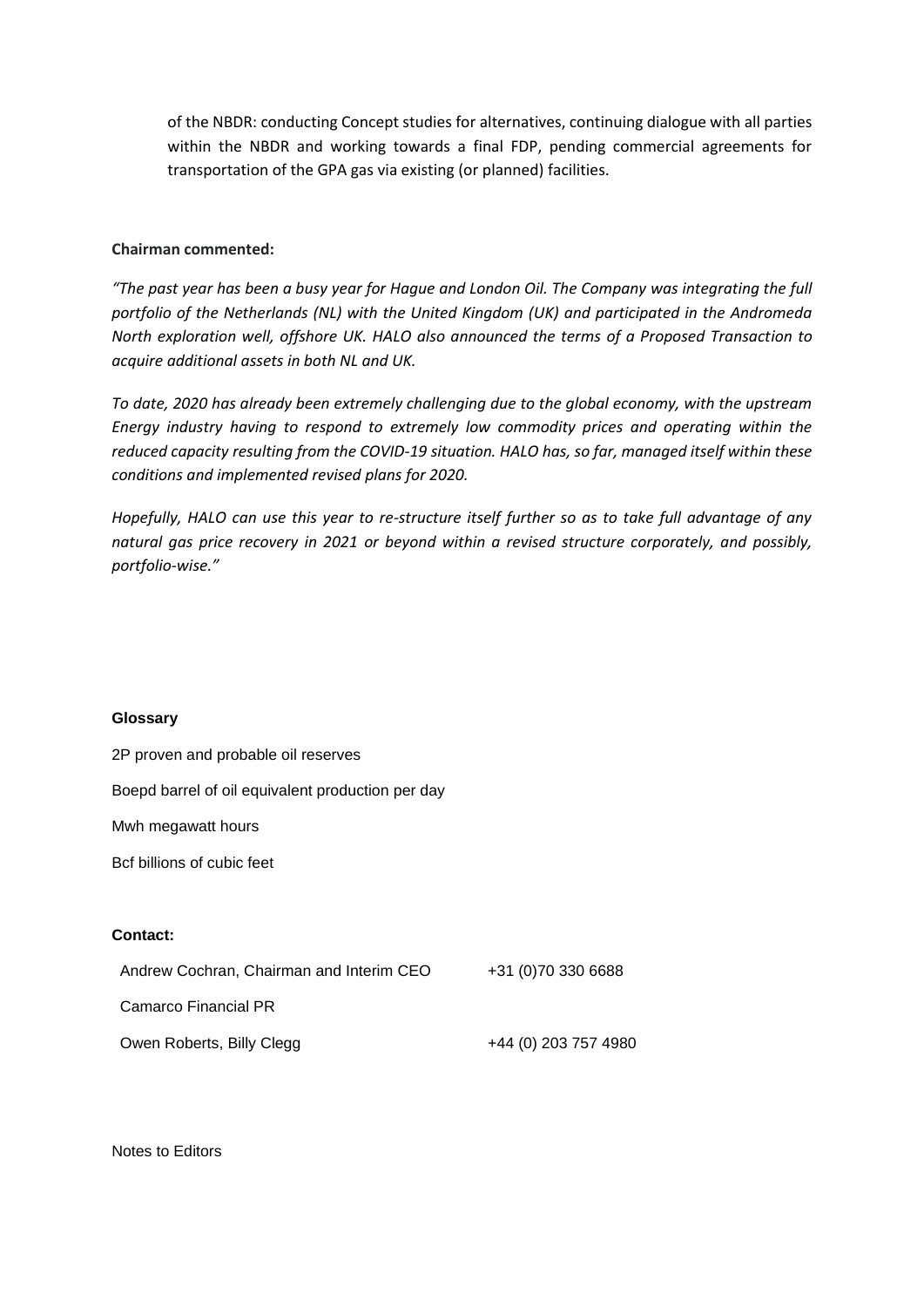of the NBDR: conducting Concept studies for alternatives, continuing dialogue with all parties within the NBDR and working towards a final FDP, pending commercial agreements for transportation of the GPA gas via existing (or planned) facilities.

#### **Chairman commented:**

*"The past year has been a busy year for Hague and London Oil. The Company was integrating the full portfolio of the Netherlands (NL) with the United Kingdom (UK) and participated in the Andromeda North exploration well, offshore UK. HALO also announced the terms of a Proposed Transaction to acquire additional assets in both NL and UK.*

*To date, 2020 has already been extremely challenging due to the global economy, with the upstream Energy industry having to respond to extremely low commodity prices and operating within the reduced capacity resulting from the COVID-19 situation. HALO has, so far, managed itself within these conditions and implemented revised plans for 2020.*

*Hopefully, HALO can use this year to re-structure itself further so as to take full advantage of any natural gas price recovery in 2021 or beyond within a revised structure corporately, and possibly, portfolio-wise."*

#### **Glossary**

2P proven and probable oil reserves

Boepd barrel of oil equivalent production per day Mwh megawatt hours Bcf billions of cubic feet **Contact:** Andrew Cochran, Chairman and Interim CEO +31 (0)70 330 6688 Camarco Financial PR Owen Roberts, Billy Clegg **+44** (0) 203 757 4980

Notes to Editors